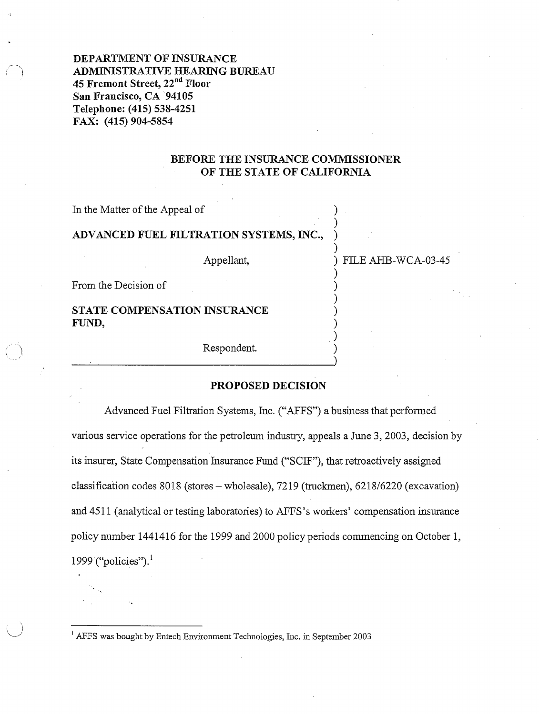**DEPARTMENT OF INSURANCE**  : ~J **ADMINISTRATIVE HEARING BUREAU 45 Fremont Street, 22°d Floor San Francisco, CA 94105 Telephone: (415) 538-4251 FAX: (415) 904-5854** 

## **BEFORE THE INSURANCE COMMISSIONER OF THE STATE OF CALIFORNIA**

)

)

)

)

)

In the Matter of the Appeal of

## **ADVANCED FUEL FILTRATION SYSTEMS, INC.,** )

Appellant,  $\overline{P}$  FILE AHB-WCA-03-45

From the Decision of )

**STATE COMPENSATION INSURANCE** ) **FUND,** )

Respondent. ) \_\_\_\_\_\_\_\_\_\_\_\_\_\_\_\_\_\_\_\_)

### **PROPOSED DECISION**

Advanced Fuel Filtration Systems, Inc. ("AFFS") a business that performed various service operations for the petroleum industry, appeals a June 3, 2003, decision by its insurer, State Compensation Insurance Fund ("SCIF"), that retroactively assigned classification codes 8018 (stores-wholesale), 7219 (truckmen), 6218/6220 (excavation) and 4511 (analytical or testing laboratories) to AFFS's workers' compensation insurance policy number 1441416 for the 1999 and 2000 policy periods commencing on October 1, 1999 ("policies").<sup>1</sup>

<sup>1</sup> AFFS was bought by Entech Environment Technologies, Inc. in September 2003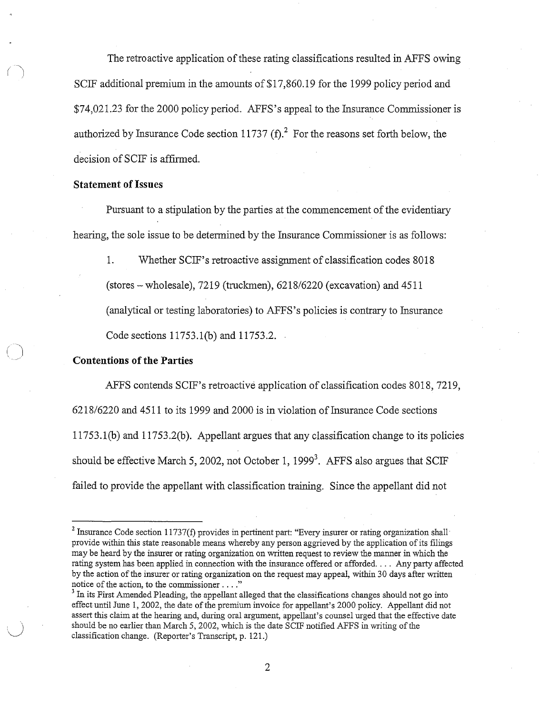The retroactive application of these rating classifications resulted in AFFS owing SCIF additional premium in the amounts of \$17,860.19 for the 1999 policy period and \$74,021.23 for the 2000 policy period. AFFS's appeal to the Insurance Commissioner is authorized by Insurance Code section 11737  $(f)$ .<sup>2</sup> For the reasons set forth below, the decision of SCIF is affirmed.

## **Statement of Issues**

Pursuant to a stipulation by the parties at the commencement of the evidentiary hearing, the sole issue to be determined by the Insurance Commissioner is as follows:

1. Whether SCIF's retroactive assignment of classification codes 8018  $\:$  (stores – wholesale), 7219 (truckmen), 6218/6220 (excavation) and 4511 (analytical or testing laboratories) to AFFS's policies is contrary to Insurance Code sections 11753.l(b) and 11753.2.

### **Contentions of the Parties**

AFFS contends SCIF's retroactive application of classification codes 8018, 7219,  $6218/6220$  and  $4511$  to its 1999 and 2000 is in violation of Insurance Code sections 117 53 .1 (b) and 117 53.2(b). Appellant argues that any classification change to its policies should be effective March 5, 2002, not October 1, 1999<sup>3</sup>. AFFS also argues that SCIF failed to provide the appellant with classification training. Since the appellant did not

 $2$  Insurance Code section 11737(f) provides in pertinent part: "Every insurer or rating organization shall provide within this state reasonable means whereby any person aggrieved by the application ofits filings may be heard by the insurer or rating organization on written request to review the manner in which the rating system has been applied in connection with the insurance offered or afforded. . . . Any party affected by the action of the insurer or rating organization on the request may appeal, within 30 days after written notice of the action, to the commissioner  $\dots$ ."<br><sup>3</sup> In its First Amended Pleading, the appellant alleged that the classifications changes should not go into

effect until June 1, 2002, the date of the premium invoice for appellant's 2000 policy. Appellant did not assert this claim at the hearing and, during oral argument, appellant's counsel urged that the effective date should be no earlier than March 5, 2002, which is the date SCIF notified AFFS in writing of the classification change. (Reporter's Transcript, p. 121.)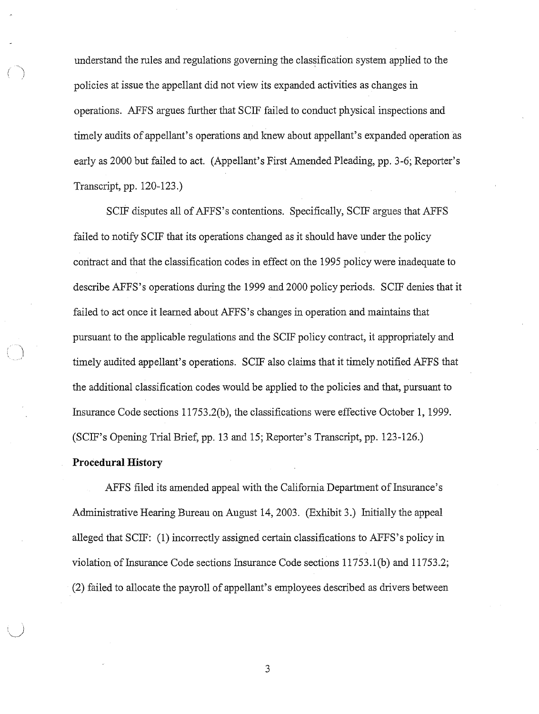understand the rules and regulations governing the classification system applied to the policies at issue the appellant did not view its expanded activities as changes in operations. AFFS argues further that SCIF failed to conduct physical inspections and timely audits of appellant's operations and knew about appellant's expanded operation as early as 2000 but failed to act. (Appellant's First Amended Pleading, pp. 3-6; Reporter's Transcript, pp. 120-123.)

SCIF disputes all of AFFS's contentions. Specifically, SCIF argues that AFFS failed to notify SCIF that its operations changed as it should have under the policy contract and that the classification codes in effect on the 1995 policy were inadequate to describe AFFS 's operations during the 1999 and 2000 policy periods. SCIF denies that it failed to act once it learned about AFFS's changes in operation and maintains that pursuant to the applicable regulations and the SCIF policy contract, it appropriately and timely audited appellant's operations. SCIF also claims that it timely notified AFFS that the additional classification codes would be applied to the policies and that, pursuant to Insurance Code sections 11753.2(b), the classifications were effective October 1, 1999. (SCIF's Opening Trial Brief, pp. 13 and 15; Reporter's Transcript, pp. 123-126.)

#### **Procedural History**

 $\bigwedge$ 

AFFS filed its amended appeal with the California Department of Insurance's Administrative Hearing Bureau on August 14, 2003. (Exhibit 3.) Initially the appeal alleged that SCIF: (1) incorrectly assigned certain classifications to AFFS's policy in violation of Insurance Code sections Insurance Code sections 11753.l(b) and 11753.2; (2) failed to allocate the payroll of appellant's employees described as drivers between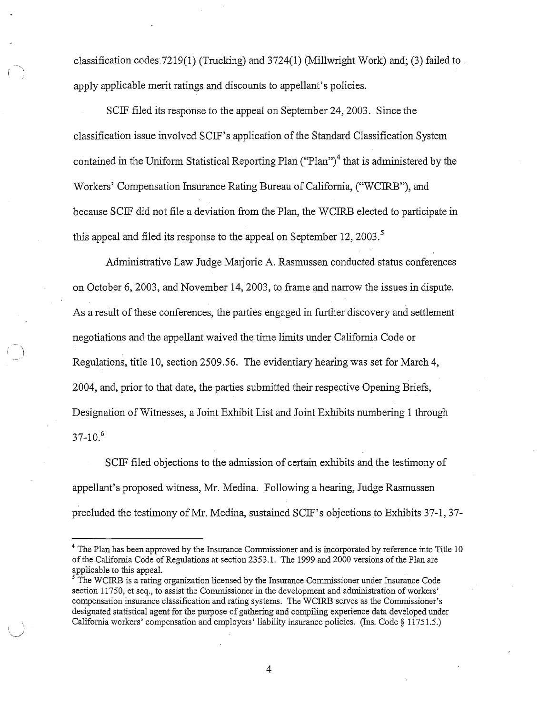classification codes 7219(1) (Trucking) and 3724(1) (Millwright Work) and; (3) failed to . apply applicable merit ratings and discounts to appellant's policies.

SCIF filed its response to the appeal on September 24, 2003. Since the classification issue involved SCIF's application ofthe Standard Classification System contained in the Uniform Statistical Reporting Plan  $("Plan")^4$  that is administered by the Workers' Compensation Insurance Rating Bureau of California, ("WCIRB"), and because SCIF did not file a deviation from the Plan, the WCIRB elected to participate in this appeal and filed its response to the appeal on September 12, 2003.<sup>5</sup>

Administrative Law Judge Marjorie A. Rasmussen conducted status conferences on October 6, 2003, and November 14, 2003, to frame and narrow the issues in dispute. As a result of these conferences, the parties engaged in further discovery and settlement negotiations and the appellant waived the time limits under California Code or Regulations, title 10, section 2509.56. The evidentiary hearing was set for March 4, 2004, and, prior to that date, the parties submitted their respective Opening Briefs, Designation of Witnesses, a Joint Exhibit List and Joint Exhibits numbering 1 through  $37-10^{6}$ 

 $\big)$ 

SCIF filed objections to the admission of certain exhibits and the testimony of appellant's proposed witness, Mr. Medina. Following a hearing, Judge Rasmussen precluded the testimony ofMr. Medina, sustained SCIF's objections to Exhibits 37-1, 37-

<sup>&</sup>lt;sup>4</sup> The Plan has been approved by the Insurance Commissioner and is incorporated by reference into Title 10 ofthe California Code of Regulations at section 2353.1. The 1999 and 2000 versions ofthe Plan are applicable to this appeal.<br><sup>5</sup>The WCIRB is a rating organization licensed by the Insurance Commissioner under Insurance Code

section 11750, et seq., to assist the Commissioner in the development and administration of workers' compensation insurance classification and rating systems. The WCIRB serves as the Commissioner's designated statistical agent for the purpose of gathering and compiling experience data developed under California workers' compensation and employers' liability insurance policies. (Ins. Code § 11751.5.)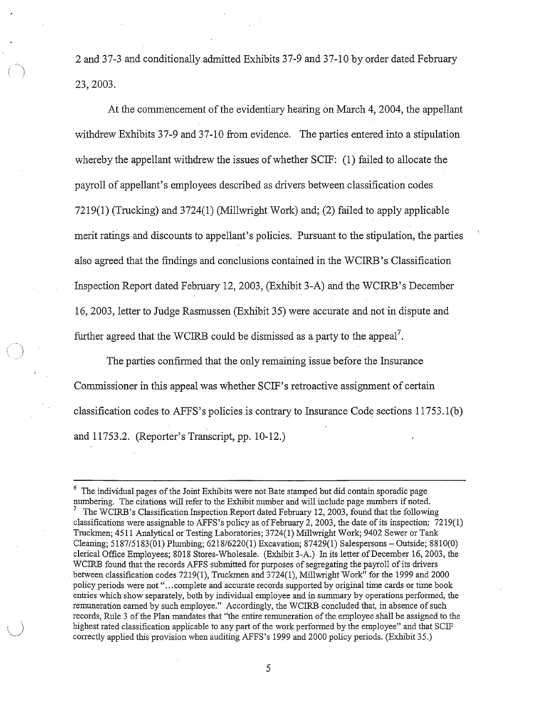2 and 37-3 and conditionally admitted Exhibits 37-9 and 37-10 by order dated February 23, 2003.

At the commencement of the evidentiary hearing on March 4, 2004, the appellant withdrew Exhibits 37-9 and 37-10 from evidence. The parties entered into a stipulation whereby the appellant withdrew the issues of whether  $SCIF: (1)$  failed to allocate the payroll of appellant's employees described as drivers between classification codes 7219(1) (Trucking) and 3724(1) (Millwright Work) and; (2) failed to apply applicable merit ratings and discounts to appellant's policies. Pursuant to the stipulation, the parties also agreed that the findings and conclusions contained in the WCIRB's Classification Inspection Report dated February 12, 2003, (Exhibit 3-A) and the WCIRB's December 16, 2003, letter to Judge Rasmussen (Exhibit 35) were accurate and not in dispute and further agreed that the WCIRB could be dismissed as a party to the appeal<sup>7</sup>.

The parties confirmed that the only remaining issue before the Insurance Commissioner in this appeal was whether SCIF's retroactive assignment of certain classification codes to AFFS's policies is contrary to Insurance Code sections  $11753.1(b)$ and 11753.2. (Reporter's Transcript, pp. 10-12.)

 $6$  The individual pages of the Joint Exhibits were not Bate stamped but did contain sporadic page numbering. The citations will refer to the Exhibit number and will include page numbers if noted.<br><sup>7</sup> The WCIRB's Classification Inspection Report dated February 12, 2003, found that the following classifications were assignable to AFFS's policy as of February 2, 2003, the date of its inspection:  $7219(1)$ Truckmen; 4511 Analytical or Testing Laboratories; 3724(1) Millwright Work; 9402 Sewer or Tank Cleaning; 5187/5183(01) Plumbing; 6218/6220(1) Excavation; 87429(1) Salespersons - Outside; 8810(0) clerical Office Employees; 8018 Stores-Wholesale. (Exhibit 3-A.) In its letter ofDecember 16, 2003, the WCIRB found that the records AFFS submitted for purposes of segregating the payroll of its drivers . between classification codes 7219(1), Truckmen and 3724(1), Millwright Work" for the 1999 and 2000 policy periods were not " ... complete and accurate records supported by original time cards or time book entries which show separately, both by individual employee and in summary by operations performed, the remuneration earned by such employee." Accordingly, the WCIRB concluded that, in absence of such records, Rule 3 of the Plan mandates that "the entire remuneration of the employee shall be assigned to the highest rated classification applicable to any part of the work performed by the employee" and that SCIF conectly applied this provision when auditing AFFS's 1999 and 2000 policy periods. (Exhibit 35.)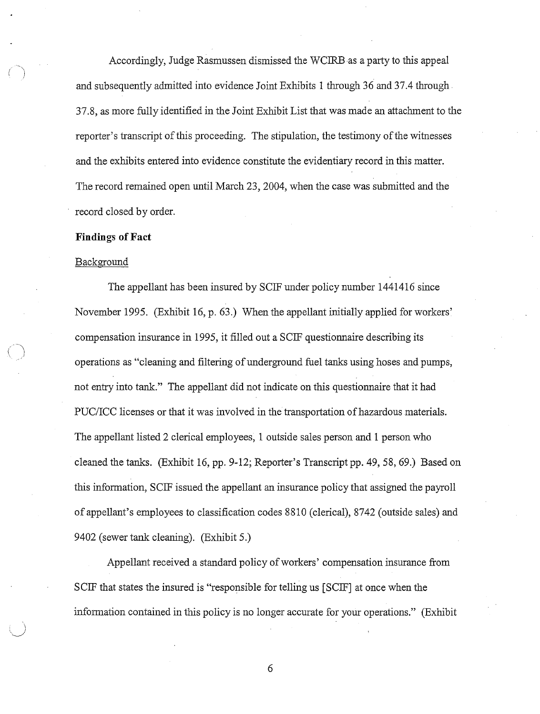Accordingly, Judge Rasmussen dismissed the WCIRB as a party to this appeal and subsequently admitted into evidence Joint Exhibits 1 through 36 and 37.4 through 37.8, as more fully identified in the Joint Exhibit List that was made an attachment to the reporter's transcript of this proceeding. The stipulation, the testimony of the witnesses and the exhibits entered into evidence constitute the evidentiary record in this matter. The record remained open until March 23, 2004, when the case was submitted and the record closed by order.

#### **Findings of Fact**

#### Background

 $\bigcirc$ 

The appellant has been insured by SCIF under policy number 1441416 since November 1995. (Exhibit 16, p. 63.) When the appellant initially applied for workers' compensation insurance in 1995, it filled out a SCIF questionnaire describing its operations as "cleaning and filtering of underground fuel tanks using hoses and pumps, not entry into tank." The appellant did not indicate on this questionnaire that it had PUC/ICC licenses or that it was involved in the transportation of hazardous materials. The appellant listed 2 clerical employees, 1 outside sales person and 1 person who cleaned the tanks. (Exhibit 16, pp. 9-12; Reporter's Transcript pp. 49, 58, 69.) Based on this information, SCIF issued the appellant an insurance policy that assigned the payroll of appellant's employees to classification codes 8810 (clerical), 8742 (outside sales) and 9402 (sewer tank cleaning). (Exhibit 5.)

Appellant received a standard policy of workers' compensation insurance from SCIF that states the insured is "responsible for telling us [SCIF] at once when the information contained in this policy is no longer accurate for your operations." (Exhibit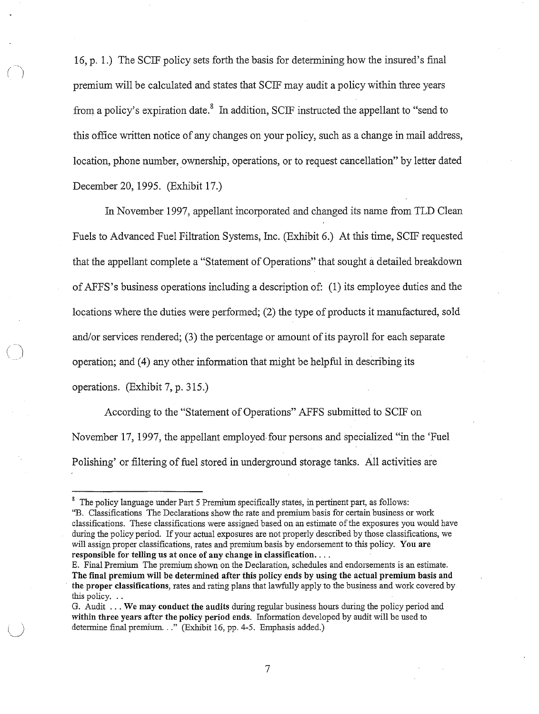16, p. 1.) The SCIF policy sets forth the basis for determining how the insured's final premium will be calculated and states that SCIF may audit a policy within three years from a policy's expiration date.<sup>8</sup> In addition, SCIF instructed the appellant to "send to this office written notice of any changes on your policy, such as a change in mail address, location, phone number, ownership, operations, or to request cancellation" by letter dated December 20, 1995. (Exhibit 17.)

In November 1997, appellant incorporated and changed its name from TLD Clean Fuels to Advanced Fuel Filtration Systems, Inc. (Exhibit 6.) At this time, SCIF requested that the appellant complete a "Statement of Operations" that sought a detailed breakdown ofAFFS 's business operations including a description of: (1) its employee duties and the locations where the duties were performed; (2) the type of products it manufactured, sold and/or services rendered; (3) the percentage or amount of its payroll for each separate operation; and (4) any other information that might be helpful in describing its operations. (Exhibit 7, p. 315.)

 $\widehat{\mathcal{C}}$ 

According to the "Statement of Operations" AFFS submitted to SCIF on November 17, 1997, the appellant employed-four persons and specialized "in the 'Fuel Polishing' or filtering of fuel stored in underground storage tanks. All activities are

<sup>&</sup>lt;sup>8</sup> The policy language under Part 5 Premium specifically states, in pertinent part, as follows: "B. Classifications The Declarations show the rate and premium basis for certain business or work classifications. These classifications were assigned based on an estimate of the exposures you would have during the policy period. If your actual exposures are not properly described by those classifications, we will assign proper classifications, rates and premium basis by endorsement to this policy. **You are responsible for telling us at once of any change in classification .** ...

E. Final Premium The premium shown on the Declaration, schedules and endorsements is an estimate. **The final premium will be determined after this policy ends by using the actual premium basis and**  · **the proper classifications,** rates and rating plans that lawfully apply to the business and work covered by this policy. . .

G. Audit ... **We may conduct the audits** during regular business hours during the policy period and **within three years after the policy period ends.** Information developed by audit will be used to determine final premium..." (Exhibit 16, pp. 4-5. Emphasis added.)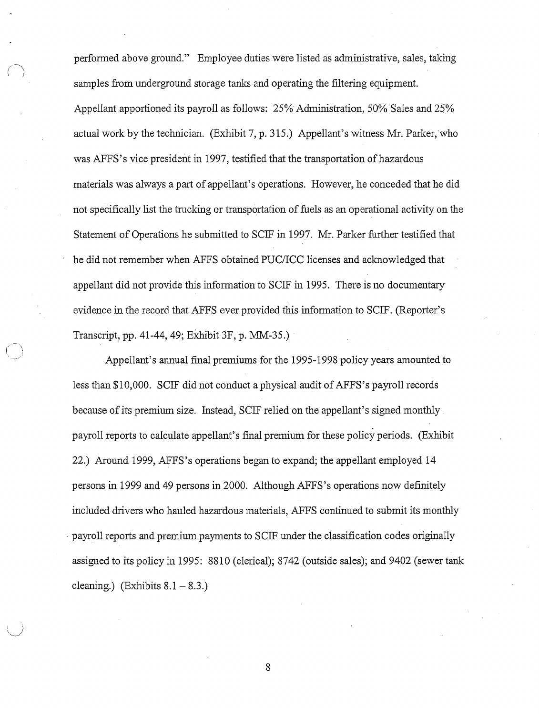performed above ground." Employee duties were listed as administrative, sales, taking samples from underground storage tanks and operating the filtering equipment. Appellant apportioned its payroll as follows: 25% Administration, 50% Sales and 25% actual work by the technician. (Exhibit 7, p. 315.) Appellant's witness Mr. Parker, who was AFFS's vice president in 1997, testified that the transportation of hazardous materials was always a part of appellant's operations. However, he conceded that he did not specifically list the trucking or transportation of fuels as an operational activity on the Statement of Operations he submitted to SCIF in 1997. Mr. Parker further testified that he did not remember when AFFS obtained PUC/ICC licenses and acknowledged that appellant did not provide this information to SCIF in 1995. There is no documentary evidence in the record that AFFS ever provided this information to SCIF. (Reporter's Transcript, pp. 41-44, 49; Exhibit 3F, p. MM-35.)

Appellant's annual final premiums for the 1995-1998 policy years amounted to less than \$10,000. SCIF did not conduct a physical audit of AFFS's payroll records because of its premium size. Instead, SCIF relied on the appellant's signed monthly payroll reports to calculate appellant's final premium for these policy periods. (Exhibit 22.) Around 1999, AFFS's operations began to expand; the appellant employed 14 persons in 1999 and 49 persons in 2000. Although AFFS's operations now definitely included drivers who hauled hazardous materials, AFFS continued to submit its monthly payroll reports and premium payments to SCIF under the classification codes originally assigned to its policy in 1995: 8810 (clerical); 8742 (outside sales); and 9402 (sewer tank cleaning.) (Exhibits  $8.1 - 8.3$ .)

*(* 

 $\bigcup$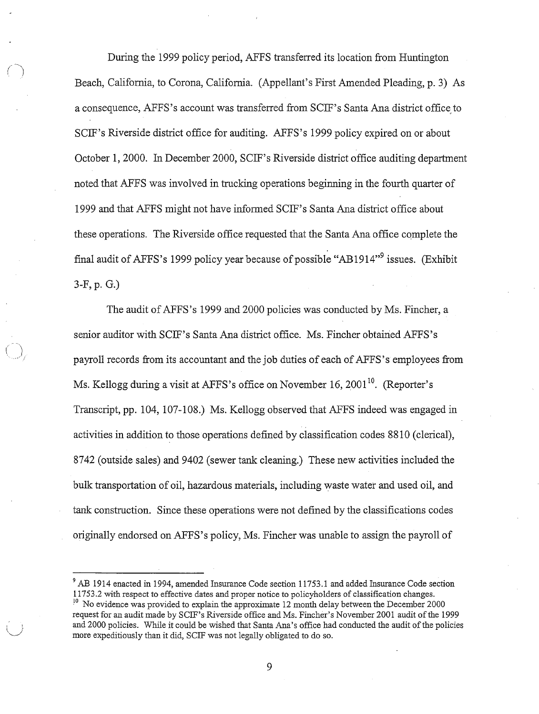During the 1999 policy period, AFFS transferred its location from Huntington Beach, California, to Corona, California. (Appellant's First Amended Pleading, p. 3) As a consequence, AFFS's account was transferred from SCIF's Santa Ana district office to SCIF's Riverside district office for auditing. AFFS's 1999 policy expired on or about October 1, 2000. In December 2000, SCIF's Riverside district office auditing department noted that AFFS was involved in trncking operations beginning in the fourth quarter of 1999 and that AFFS might not have informed SCIF' s Santa Ana district office about these operations. The Riverside office requested that the Santa Ana office complete the final audit of AFFS's 1999 policy year because of possible "AB 1914"<sup>9</sup> issues. (Exhibit 3-F, p. G.)

The audit of AFFS's 1999 and 2000 policies was conducted by Ms. Fincher, a senior auditor with SCIF's Santa Ana district office. Ms. Fincher obtained AFFS's payroll records from its accountant and the job duties of each of AFFS's employees from Ms. Kellogg during a visit at AFFS's office on November 16, 2001<sup>10</sup>. (Reporter's Transcript, pp. 104, 107-108.) Ms. Kellogg observed that AFFS indeed was engaged in activities in addition to those operations defined by classification codes 8810 ( clerical), 8742 (outside sales) and 9402 (sewer tank cleaning.) These new activities included the bulk transportation of oil, hazardous materials, including waste water and used oil, and tank construction. Since these operations were not defined by the classifications codes originally endorsed on AFFS's policy, Ms. Fincher was unable to assign the payroll of

 $9$  AB 1914 enacted in 1994, amended Insurance Code section 11753.1 and added Insurance Code section 11753.2 with respect to effective dates and proper notice to policyholders of classification changes.  $10$  No evidence was provided to explain the approximate 12 month delay between the December 2000 request for an audit made by SCIF's Riverside office and Ms. Fincher's November 2001 audit ofthe 1999 and 2000 policies. While it could be wished that Santa Ana's office had conducted the audit of the policies more expeditiously than it did, SCIF was not legally obligated to do so.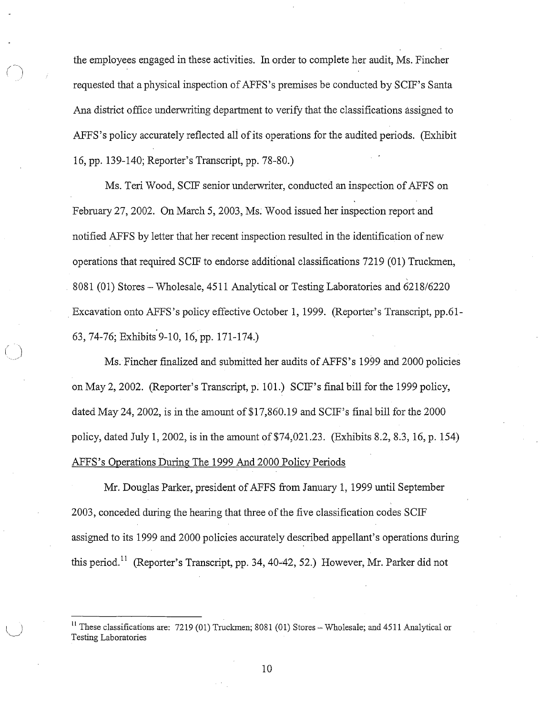the employees engaged in these activities. In order to complete her audit, Ms. Fincher requested that a physical inspection of AFFS's premises be conducted by SCIF's Santa Ana district office underwriting department to verify that the classifications assigned to AFFS's policy accurately reflected all of its operations for the audited periods. (Exhibit 16, pp. 139-140; Reporter's Transcript, pp. 78-80.)

Ms. Teri Wood, SCIF senior underwriter, conducted an inspection of AFFS on February 27, 2002. On March 5, 2003, Ms. Wood issued her inspection report and notified AFFS by letter that her recent inspection resulted in the identification of new operations that required SCIF to endorse additional classifications 7219 (01) Truckmen, 8081 (01) Stores - Wholesale, 4511 Analytical or Testing Laboratories and 6218/6220 Excavation onto AFFS's policy effective October 1, 1999. (Reporter's Transcript, pp.61- 63, 74-76; Exhibits 9-10, 16, pp. 171-174.)

Ms. Fincher finalized and submitted her audits of AFFS's 1999 and 2000 policies on May 2, 2002. (Reporter's Transcript, p. 101.) SCIF's final bill for the 1999 policy, dated May 24, 2002, is in the amount of \$17,860.19 and SCIF's final bill for the 2000 policy, dated July 1, 2002, is in the amount of \$74,021.23. (Exhibits 8.2, 8.3, 16, p. 154) AFFS's Operations During The 1999 And 2000 Policy Periods

Mr. Douglas Parker, president ofAFFS from January 1, 1999 until September 2003, conceded during the hearing that three of the five classification codes SCIF assigned to its 1999 and 2000 policies accurately described appellant's operations during this period.<sup>11</sup> (Reporter's Transcript, pp. 34, 40-42, 52.) However, Mr. Parker did not

<sup>&</sup>lt;sup>11</sup> These classifications are: 7219 (01) Truckmen; 8081 (01) Stores – Wholesale; and 4511 Analytical or Testing Laboratories *\\_\_)*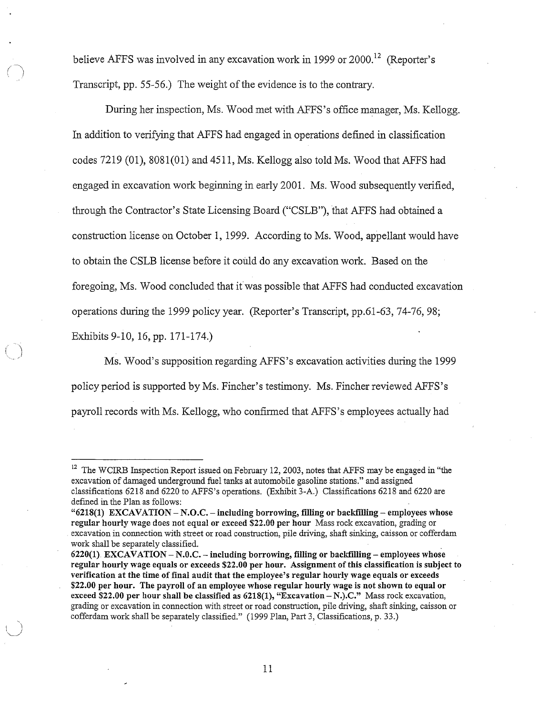believe AFFS was involved in any excavation work in 1999 or  $2000$ <sup>12</sup> (Reporter's Transcript, pp. 55-56.) The weight of the evidence is to the contrary.

*(* 

 $\bigcirc$ 

During her inspection, Ms. Wood met with AFFS's office manager, Ms. Kellogg. In addition to verifying that AFFS had engaged in operations defined in classification codes 7219 (01), 8081(01) and 4511, Ms. Kellogg also told Ms. Wood that AFFS had engaged in excavation work beginning in early 2001. Ms. Wood subsequently verified, through the Contractor's State Licensing Board ("CSLB"), that AFFS had obtained a construction license on October 1, 1999. According to Ms. Wood, appellant would have to obtain the CSLB license before it could do any excavation work. Based on the foregoing, Ms. Wood concluded that itwas possible that AFFS had conducted excavation operations during the 1999 policy year. (Reporter's Transcript, pp.61-63, 74-76, 98; Exhibits 9-10, 16, pp. 171-174.)

Ms. Wood's supposition regarding AFFS 's excavation activities during the 1999 policy period is supported by Ms. Fincher's testimony. Ms. Fincher reviewed AFFS's payroll records with Ms. Kellogg, who confirmed that AFFS's employees actually had

<sup>&</sup>lt;sup>12</sup> The WCIRB Inspection Report issued on February 12, 2003, notes that AFFS may be engaged in "the excavation of damaged underground fuel tanks at automobile gasoline stations." and assigned classifications 6218 and 6220 to AFFS's operations. (Exhibit 3-A.) Classifications 6218 and 6220 are defined in the Plan as follows:

**<sup>&</sup>quot;6218(1) EXCAVATION** - **N.O.C.** - **including borrowing, filling or backfilling** - **employees whose regular hourly wage does not equal or exceed \$22.00 per hour** Mass rock excavation, grading or excavation in connection with street or road construction, pile driving, shaft sinking, caisson or cofferdam work shall be separately classified.

**<sup>6220(1)</sup> EXCAVATION** - **N.O.C.** - **including borrowing, filling or backfilling- employees whose regular hourly wage equals or exceeds \$22.00 per hour. Assignment of this classification is subject to verification at the time of final audit that the employee's regular hourly wage equals or exceeds \$22.00 per hour. The payroll of an employee whose regular hourly wage is not shown to equal or exceed \$22.00 per hour shall be classified as 6218(1), "Excavation** - **N.).C."** Mass rock excavation, grading or excavation in connection with street or road construction, pile driving, shaft sinking, caisson or cofferdam work shall be separately classified." (1999 Plan, Part 3, Classifications, p. 33.)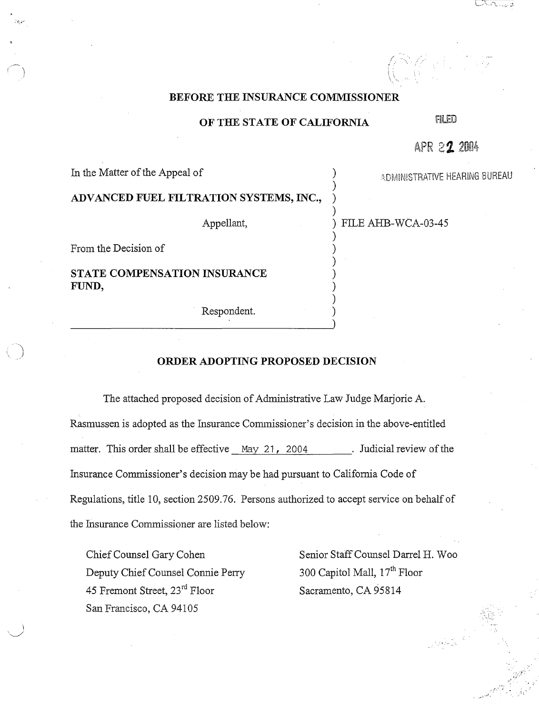## **BEFORE THE INSURANCE COMMISSIONER**

# **OF THE STATE OF CALIFORNIA** FILED

In the Matter of the Appeal of (2008) ADMINISTRATIVE HEARING BUREAU

)

)

)

*( ':*  i.

APR 22 2004

| ADVANCED FUEL FILTRATION SYSTEMS, INC., |  |
|-----------------------------------------|--|
|                                         |  |

Appellant,  $\qquad \qquad$  ) FILE AHB-WCA-03-45

From the Decision of )

**STATE COMPENSATION INSURANCE** ) **FUND,** )

Respondent. )

### **ORDER ADOPTING PROPOSED DECISION**

The attached proposed decision of Administrative Law Judge Marjorie A. Rasmussen is adopted as the Insurance Commissioner's decision in the above-entitled matter. This order shall be effective May 21, 2004 . Judicial review of the Insurance Commissioner's decision may be had pursuant to California Code of Regulations, title 10, section 2509. 76. Persons authorized to accept service on behalf of the Insurance Commissioner are listed below:

Deputy Chief Counsel Connie Perry 300 Capitol Mall, 17<sup>th</sup> Floor 45 Fremont Street,  $23^{rd}$  Floor Sacramento, CA 95814 San Francisco, CA 94105

Chief Counsel Gary Cohen Senior Staff Counsel Darrel H. Woo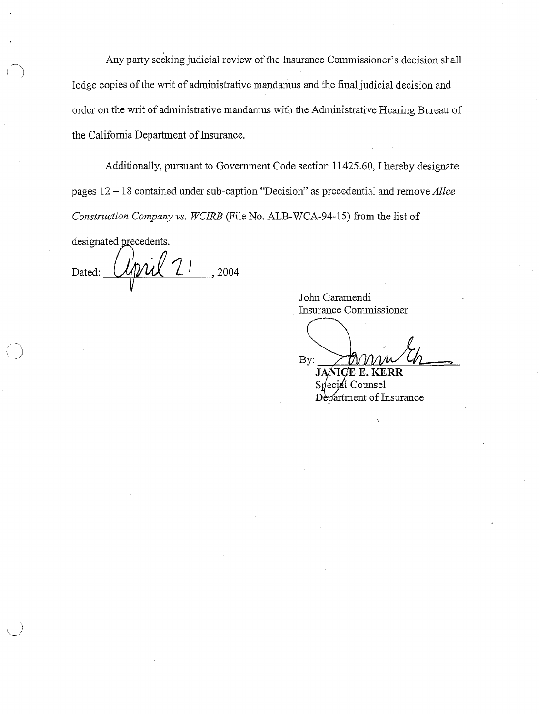Any party seeking judicial review of the Insurance Commissioner's decision shall lodge copies of the writ of administrative mandamus and the final judicial decision and order on the writ of administrative mandamus with the Administrative Hearing Bureau of the California Department of Insurance.

Additionally, pursuant to Government Code section 11425.60, I hereby designate pages 12 - 18 contained under sub-caption "Decision" as precedential and remove *Allee Construction Company vs. WCIRB* (File No. ALB-WCA-94-15) from the list of

designated precedents. , 2004 Dated:

*\\_\_\_)* 

John Garamendi Insurance Commissioner

By: **-.,L---¥-Jt....JLJ.~:.:::\_\_\_~.J.=:=::::L\_** 

**J**  Special Counsel Department of Insurance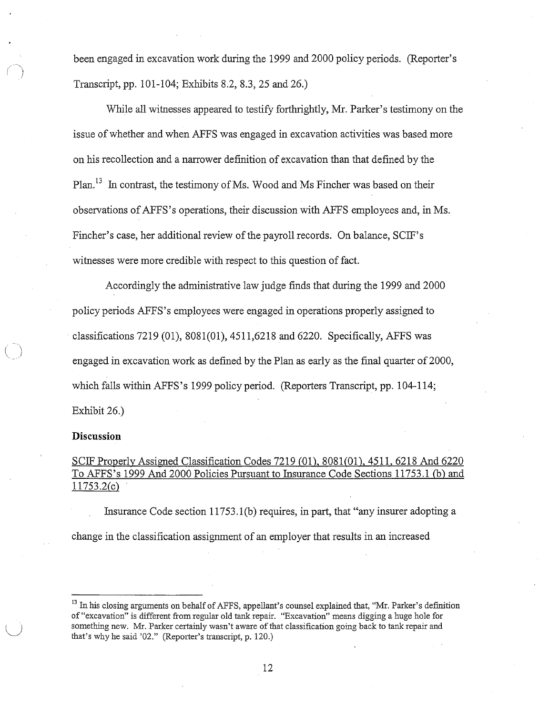been engaged in excavation work during the 1999 and 2000 policy periods. (Reporter's Transcript, pp. 101-104; Exhibits 8.2, 8.3, 25 and 26.)

While all witnesses appeared to testify forthrightly, Mr. Parker's testimony on the issue of whether and when AFFS was engaged in excavation activities was based more on his recollection and a narrower definition of excavation than that defined by the Plan.<sup>13</sup> In contrast, the testimony of Ms. Wood and Ms Fincher was based on their observations ofAFFS's operations, their discussion with AFFS employees and, in Ms. Fincher's case, her additional review of the payroll records. On balance, SCIF's witnesses were more credible with respect to this question of fact.

Accordingly the administrative law judge finds that during the 1999 and 2000 policy periods AFFS's employees were engaged in operations properly assigned to classifications 7219 (01), 8081(01), 4511,6218 and 6220. Specifically, AFFS was engaged in excavation work as defined by the Plan as early as the final quarter of 2000, which falls within AFFS 's 1999 policy period. (Reporters Transcript, pp. 104-114; Exhibit 26.)

## **Discussion**

 $\bigcirc$ 

# SCIF Properly Assigned Classification Codes 7219 (01), 8081(01), 4511, 6218 And 6220 To AFFS's 1999 And 2000 Policies Pursuant to Insurance Code Sections 11753. l (b) and 11753.2(c)

Insurance Code section  $11753.1(b)$  requires, in part, that "any insurer adopting a change in the classification assignment of an employer that results in an increased

<sup>&</sup>lt;sup>13</sup> In his closing arguments on behalf of AFFS, appellant's counsel explained that, "Mr. Parker's definition of "excavation" is different from regular old tank repair. "Excavation" means digging a huge hole for something new. Mr. Parker certainly wasn't aware of that classification going back to tank repair and that's why he said '02." (Reporter's transcript, p. 120.)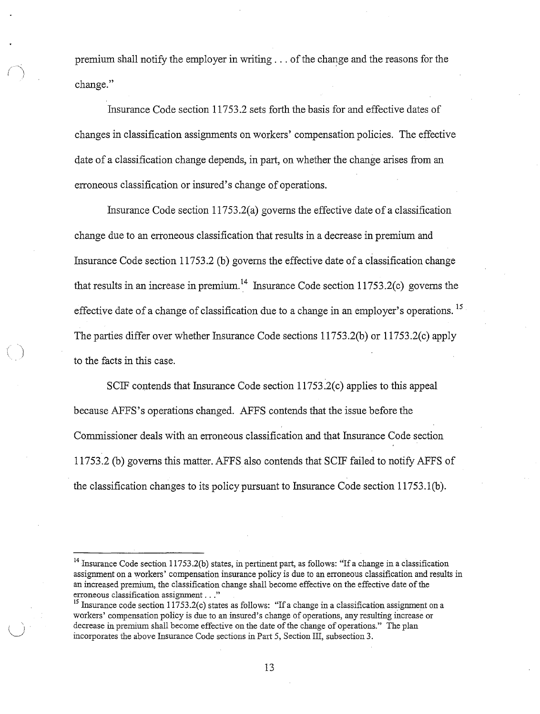premium shall notify the employer in writing  $\ldots$  of the change and the reasons for the change."

*()* 

Insurance Code section 11753.2 sets forth the basis for and effective dates of changes in classification assignments on workers' compensation policies. The effective date of a classification change depends, in part, on whether the change arises from an erroneous classification or insured's change of operations.

Insurance Code section  $11753.2(a)$  governs the effective date of a classification change due to an erroneous classification that results in a decrease in premium and Insurance Code section 11753.2 (b) governs the effective date of a classification change that results in an increase in premium.<sup>14</sup> Insurance Code section 11753.2(c) governs the effective date of a change of classification due to a change in an employer's operations. <sup>15</sup> The parties differ over whether Insurance Code sections 11753.2(b) or 11753.2(c) apply *( )* to the facts in this case.

SCIF contends that Insurance Code section 11753.2(c) applies to this appeal because AFFS 's operations changed. AFFS contends that the issue before the Commissioner deals with an erroneous classification and that Insurance Code section 11753.2 (b) governs this matter. AFFS also contends that SCIF failed to notify AFFS of the classification changes to its policy pursuant to Insurance Code section 11753.l(b).

<sup>&</sup>lt;sup>14</sup> Insurance Code section 11753.2(b) states, in pertinent part, as follows: "If a change in a classification assignment on a workers' compensation insurance policy is due to an erroneous classification and results in an increased premium, the classification change shall become effective on the effective date of the erroneous classification assignment . . ."

<sup>&</sup>lt;sup>15</sup> Insurance code section 11753.2(c) states as follows: "If a change in a classification assignment on a workers' compensation policy is due to an insured's change of operations, any resulting increase or decrease in premium shall become effective on the date of the change of operations." The plan incorporates the above Insurance Code sections in Part 5, Section III, subsection 3.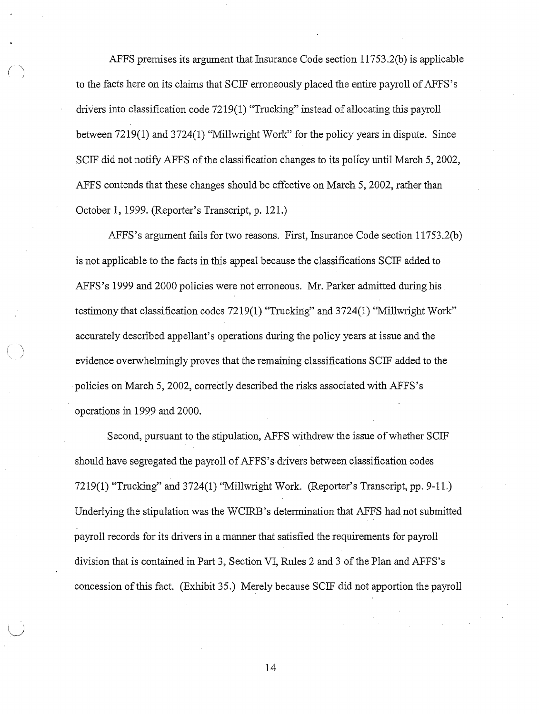AFFS premises its argument that Insurance Code section 11753.2(b) is applicable to the facts here on its claims that SCIF erroneously placed the entire payroll ofAFFS 's drivers into classification code 7219(1) "Trucking" instead of allocating this payroll between 7219(1) and 3724(1) "Millwright Work" for the policy years in dispute. Since SCIF did not notify AFFS of the classification changes to its policy until March 5, 2002, AFFS contends that these changes should be effective on March 5, 2002, rather than October 1, 1999. (Reporter's Transcript, p. 121.)

*( )* 

AFFS's argument fails for two reasons. First, Insurance Code section 11753.2(b) is not applicable to the facts in this appeal because the classifications SCIF added to AFFS's 1999 and 2000 policies were not erroneous. Mr. Parker admitted during his I testimony that classification codes 7219(1) "Trucking" and 3724(1) "Millwright Work" accurately described appellant's operations during the policy years at issue and the evidence overwhelmingly proves that the remaining classifications SCIF added to the policies on March 5, 2002, correctly described the risks associated with AFFS's operations in 1999 and 2000.

Second, pursuant to the stipulation, AFFS withdrew the issue of whether SCIF should have segregated the payroll of AFFS's drivers between classification codes 7219(1) "Trucking" and 3724(1) "Millwright Work. (Reporter's Transcript, pp. 9-11.) Underlying the stipulation was the WCIRB's determination that AFFS had not submitted payroll records for its drivers in a manner that satisfied the requirements for payroll division that is contained in Part 3, Section VI, Rules 2 and 3 of the Plan and AFFS's concession ofthis fact. (Exhibit 35.) Merely because SCIF did not apportion the payroll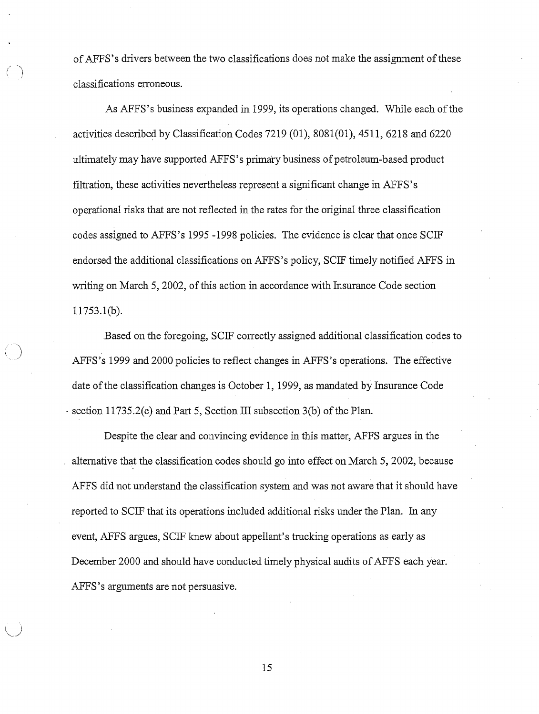of AFFS's drivers between the two classifications does not make the assignment of these classifications erroneous.

*(* ~)

As AFFS's business expanded in 1999, its operations changed. While each of the activities described by Classification Codes 7219 (01), 8081(01), 4511, 6218 and 6220 ultimately may have supported AFFS's primary business of petroleum-based product filtration, these activities nevertheless represent a significant change in AFFS's operational risks that are not reflected in the rates for the original three classification codes assigned to AFFS's 1995 -1998 policies. The evidence is clear that once SCIF endorsed the additional classifications on AFFS's policy, SCIF timely notified AFFS in writing on March 5, 2002, of this action in accordance with Insurance Code section 11753.l(b).

Based on the foregoing, SCIF correctly assigned additional classification codes to AFFS's 1999 and 2000 policies to reflect changes in AFFS's operations. The effective date ofthe classification changes is October 1, 1999, as mandated by Insurance Code · section 11735.2(c) and Part 5, Section III subsection 3(b) of the Plan.

Despite the clear and convincing evidence in this matter, AFFS argues in the alternative that the classification codes should go into effect on March 5, 2002, because AFFS did not understand the classification system and was not aware that it should have reported to SCIF that its operations included additional risks under the Plan. In any event, AFFS argues, SCIF knew about appellant's trucking operations as early as December 2000 and should have conducted timely physical audits of AFFS each year. AFFS 's arguments are not persuasive.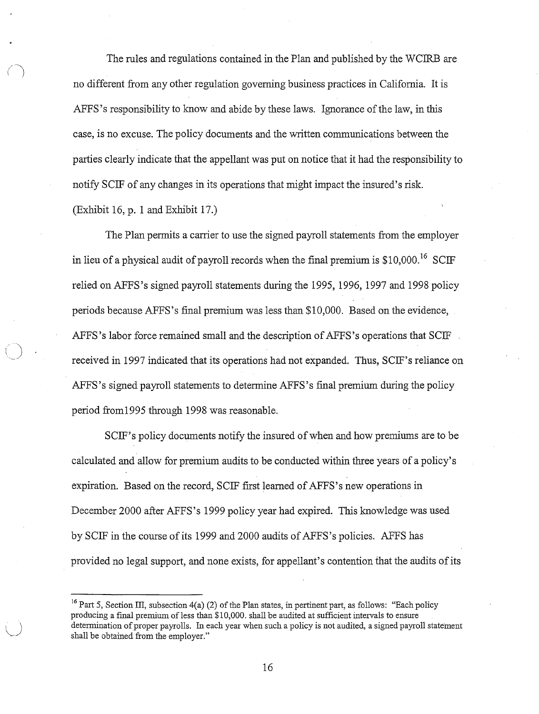The rules and regulations contained in the Plan and published by the WCIRB are no different from any other regulation governing business practices in California. It is AFFS 's responsibility to know and abide by these laws. Ignorance of the law, in this case, is no excuse. The policy documents and the written communications between the parties clearly indicate that the appellant was put on notice that it had the responsibility to notify SCIF of any changes in its operations that might impact the insured's risk. (Exhibit 16, p. 1 and Exhibit 17.)

The Plan permits a carrier to use the signed payroll statements from the employer in lieu of a physical audit of payroll records when the final premium is  $$10,000$ <sup>16</sup> SCIF relied on AFFS's signed payroll statements during the 1995, 1996, 1997 and 1998 policy periods because AFFS's final premium was less than \$10,000. Based on the evidence, AFFS's labor force remained small and the description of AFFS's operations that  $SCIF$ . ) received in 1997 indicated that its operations had not expanded. Thus, SCIF's reliance on AFFS 's signed payroll statements to determine AFFS' s final premium during the policy period from1995 through 1998 was reasonable.

SCIF's policy documents notify the insured of when and how premiums are to be calculated and allow for premium audits to be conducted within three years of a policy's expiration. Based on the record, SCIF first learned of AFFS's new operations in December 2000 after AFFS's 1999 policy year had expired. This knowledge was used by SCIF in the course ofits 1999 and 2000 audits of AFFS's policies. AFFS has provided no legal support, and none exists, for appellant's contention that the audits of its

<sup>&</sup>lt;sup>16</sup> Part 5, Section III, subsection 4(a) (2) of the Plan states, in pertinent part, as follows: "Each policy producing a final premium of less than \$10,000. shall be audited at sufficient intervals to ensure determination of proper payrolls. In each year when such a policy is not audited, a signed payroll statement shall be obtained from the employer."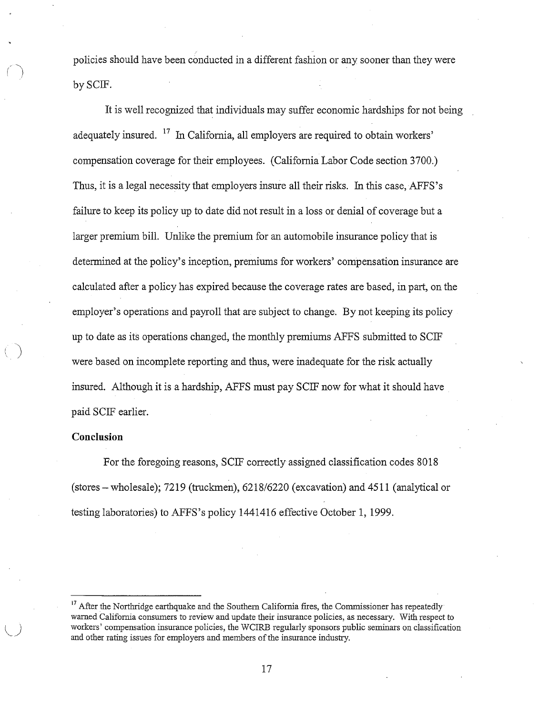policies should have been conducted in a different fashion or any sooner than they were by SCIF.

It is well recognized that individuals may suffer economic hardships for not being adequately insured.  $17$  In California, all employers are required to obtain workers' compensation coverage for their employees. (California Labor Code section 3700.) Thus, it is a legal necessity that employers insure all their risks. In this case, AFFS's failure to keep its policy up to date did not result in a loss or denial of coverage but a larger premium bill. Unlike the premium for an automobile insurance policy that is determined at the policy's inception, premiums for workers' compensation insurance are calculated after a policy has expired because the coverage rates are based, in part, on the employer's operations and payroll that are subject to change. By not keeping its policy up to date as its operations changed, the monthly premiums AFFS submitted to SCIF were based on incomplete reporting and thus, were inadequate for the risk actually insured. Although it is a hardship, AFFS must pay SCIF now for what it should have paid SCIF earlier.

## **Conclusion**

 $\bigcap$ 

)

For the foregoing reasons, SCIF correctly assigned classification codes 8018 (stores-wholesale); 7219 (truckmen), 6218/6220 (excavation) and 4511 (analytical or testing laboratories) to AFFS's policy 1441416 effective October 1, 1999.

 $17$  After the Northridge earthquake and the Southern California fires, the Commissioner has repeatedly warned California consumers to review and update their insurance policies, as necessary. With respect to workers' compensation insurance policies, the WCIRB regularly sponsors public seminars on classification and other rating issues for employers and members of the insurance industry.